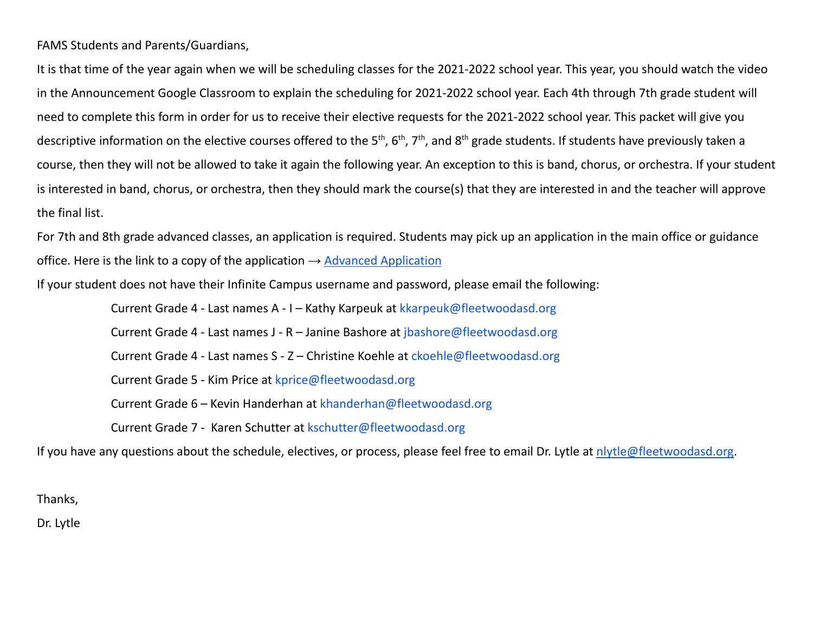FAMS Students and Parents/Guardians,

It is that time of the year again when we will be scheduling classes for the 2021-2022 school year. This year, you should watch the video in the Announcement Google Classroom to explain the scheduling for 2021-2022 school year. Each 4th through 7th grade student will need to complete this form in order for us to receive their elective requests for the 2021-2022 school year. This packet will give you descriptive information on the elective courses offered to the 5<sup>th</sup>, 6<sup>th</sup>, 7<sup>th</sup>, and 8<sup>th</sup> grade students. If students have previously taken a course, then they will not be allowed to take it again the following year. An exception to this is band, chorus, or orchestra. If your student is interested in band, chorus, or orchestra, then they should mark the course(s) that they are interested in and the teacher will approve the final list.

For 7th and 8th grade advanced classes, an application is required. Students may pick up an application in the main office or guidance office. Here is the link to a copy of the application  $\rightarrow$  Advanced [Application](https://docs.google.com/document/d/1wpVdIu9RnfIha0s8hY8mIKxPSUHdLUJXTCsLwZfmTeA/edit?usp=sharing)

If your student does not have their Infinite Campus username and password, please email the following:

Current Grade 4 - Last names A - I – Kathy Karpeuk at kkarpeuk@fleetwoodasd.org Current Grade 4 - Last names J - R – Janine Bashore at jbashore@fleetwoodasd.org Current Grade 4 - Last names S - Z – Christine Koehle at ckoehle@fleetwoodasd.org Current Grade 5 - Kim Price at kprice@fleetwoodasd.org Current Grade 6 – Kevin Handerhan at [khanderhan@fleetwoodasd.org](mailto:khanderhan@fleetwoodasd.org) Current Grade 7 - Karen Schutter at kschutter@fleetwoodasd.org

If you have any questions about the schedule, electives, or process, please feel free to email Dr. Lytle at [nlytle@fleetwoodasd.org.](mailto:nlytle@fleetwoodasd.org)

Thanks,

Dr. Lytle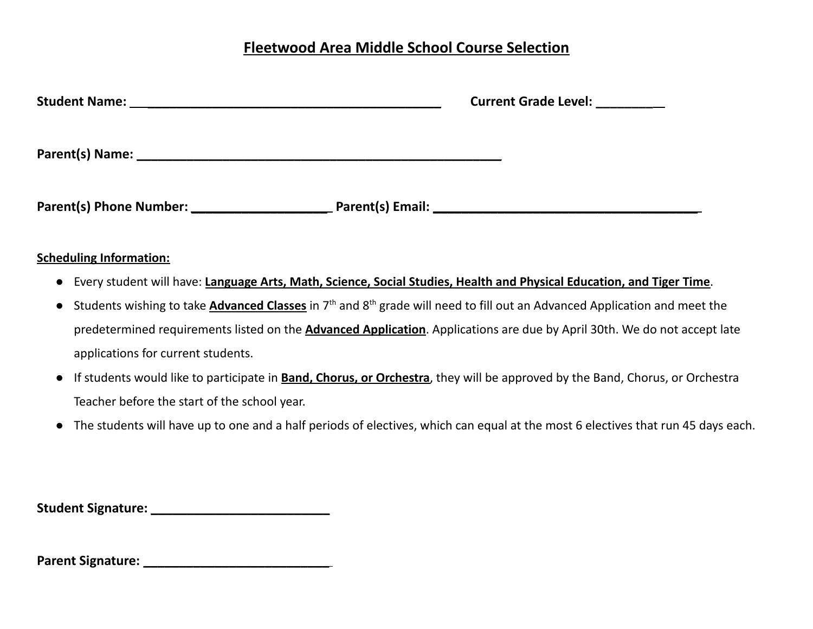# **Fleetwood Area Middle School Course Selection**

| Current Grade Level: _________ |
|--------------------------------|
|                                |
|                                |

# **Scheduling Information:**

- Every student will have: **Language Arts, Math, Science, Social Studies, Health and Physical Education, and Tiger Time**.
- Students wishing to take *Advanced Classes* in 7<sup>th</sup> and 8<sup>th</sup> grade will need to fill out an Advanced Application and meet the predetermined requirements listed on the **Advanced Application**. Applications are due by April 30th. We do not accept late applications for current students.
- If students would like to participate in **Band, Chorus, or Orchestra**, they will be approved by the Band, Chorus, or Orchestra Teacher before the start of the school year.
- The students will have up to one and a half periods of electives, which can equal at the most 6 electives that run 45 days each.

**Student Signature: \_\_\_\_\_\_\_\_\_\_\_\_\_\_\_\_\_\_\_\_\_\_\_\_\_**

**Parent Signature: \_\_\_\_\_\_\_\_\_\_\_\_\_\_\_\_\_\_\_\_\_\_\_\_\_\_**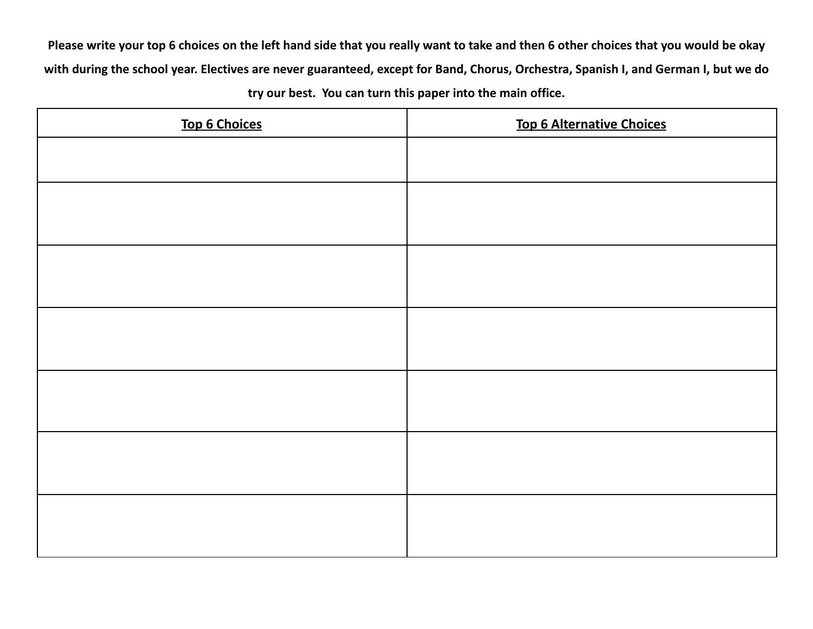Please write your top 6 choices on the left hand side that you really want to take and then 6 other choices that you would be okay with during the school year. Electives are never guaranteed, except for Band, Chorus, Orchestra, Spanish I, and German I, but we do **try our best. You can turn this paper into the main office.**

| <b>Top 6 Choices</b> | <b>Top 6 Alternative Choices</b> |
|----------------------|----------------------------------|
|                      |                                  |
|                      |                                  |
|                      |                                  |
|                      |                                  |
|                      |                                  |
|                      |                                  |
|                      |                                  |
|                      |                                  |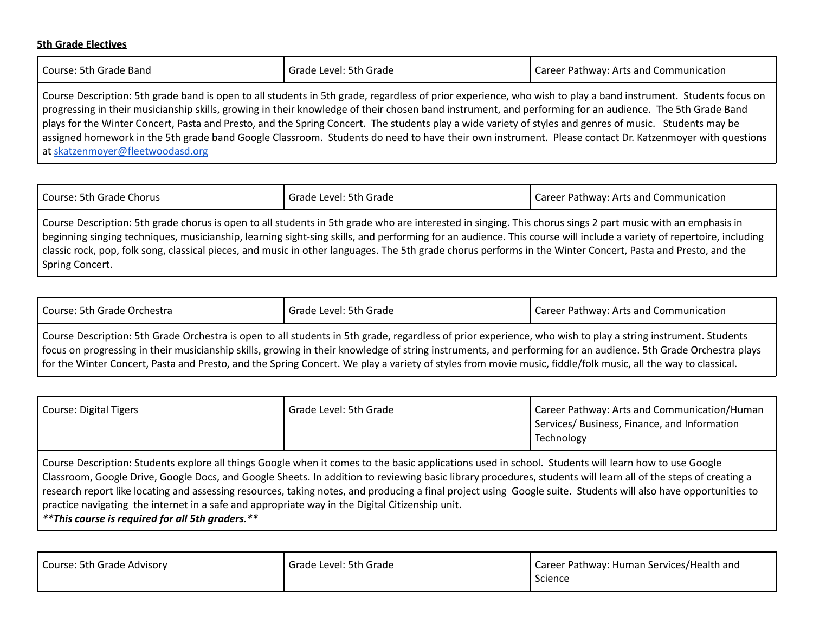## **5th Grade Electives**

Spring Concert.

| Course: 5th Grade Band                                                                                                                                                                                                                                                                                                     | Grade Level: 5th Grade | Career Pathway: Arts and Communication |
|----------------------------------------------------------------------------------------------------------------------------------------------------------------------------------------------------------------------------------------------------------------------------------------------------------------------------|------------------------|----------------------------------------|
| Course Description: 5th grade band is open to all students in 5th grade, regardless of prior experience, who wish to play a band instrument. Students focus on<br>progressing in their musicianship skills, growing in their knowledge of their chosen band instrument, and performing for an audience. The 5th Grade Band |                        |                                        |

plays for the Winter Concert, Pasta and Presto, and the Spring Concert. The students play a wide variety of styles and genres of music. Students may be assigned homework in the 5th grade band Google Classroom. Students do need to have their own instrument. Please contact Dr. Katzenmoyer with questions at [skatzenmoyer@fleetwoodasd.org](mailto:skatzenmoyer@fleetwoodasd.org)

| Course: 5th Grade Chorus                                                                                                                                            | Grade Level: 5th Grade | Career Pathway: Arts and Communication |
|---------------------------------------------------------------------------------------------------------------------------------------------------------------------|------------------------|----------------------------------------|
| Course Description: 5th grade chorus is open to all students in 5th grade who are interested in singing. This chorus sings 2 part music with an emphasis in         |                        |                                        |
| beginning singing techniques, musicianship, learning sight-sing skills, and performing for an audience. This course will include a variety of repertoire, including |                        |                                        |
| classic rock, pop, folk song, classical pieces, and music in other languages. The 5th grade chorus performs in the Winter Concert, Pasta and Presto, and the        |                        |                                        |

| Course: 5th Grade Orchestra                                                                                                                                  | Grade Level: 5th Grade | Career Pathway: Arts and Communication |
|--------------------------------------------------------------------------------------------------------------------------------------------------------------|------------------------|----------------------------------------|
| Course Description: 5th Grade Orchestra is open to all students in 5th grade, regardless of prior experience, who wish to play a string instrument. Students |                        |                                        |

focus on progressing in their musicianship skills, growing in their knowledge of string instruments, and performing for an audience. 5th Grade Orchestra plays for the Winter Concert, Pasta and Presto, and the Spring Concert. We play a variety of styles from movie music, fiddle/folk music, all the way to classical.

| Course: Digital Tigers                                                                                                                                                                                                                                                                                                                                                                                                                                                                                                                                                                                                                             | Grade Level: 5th Grade | Career Pathway: Arts and Communication/Human<br>Services/ Business, Finance, and Information<br>Technology |
|----------------------------------------------------------------------------------------------------------------------------------------------------------------------------------------------------------------------------------------------------------------------------------------------------------------------------------------------------------------------------------------------------------------------------------------------------------------------------------------------------------------------------------------------------------------------------------------------------------------------------------------------------|------------------------|------------------------------------------------------------------------------------------------------------|
| Course Description: Students explore all things Google when it comes to the basic applications used in school. Students will learn how to use Google<br>Classroom, Google Drive, Google Docs, and Google Sheets. In addition to reviewing basic library procedures, students will learn all of the steps of creating a<br>research report like locating and assessing resources, taking notes, and producing a final project using Google suite. Students will also have opportunities to<br>practice navigating the internet in a safe and appropriate way in the Digital Citizenship unit.<br>** This course is required for all 5th graders. ** |                        |                                                                                                            |

| Course: 5th Grade Advisory | Grade Level: 5th Grade | Career Pathway: Human Services/Health and |
|----------------------------|------------------------|-------------------------------------------|
|                            |                        | Science                                   |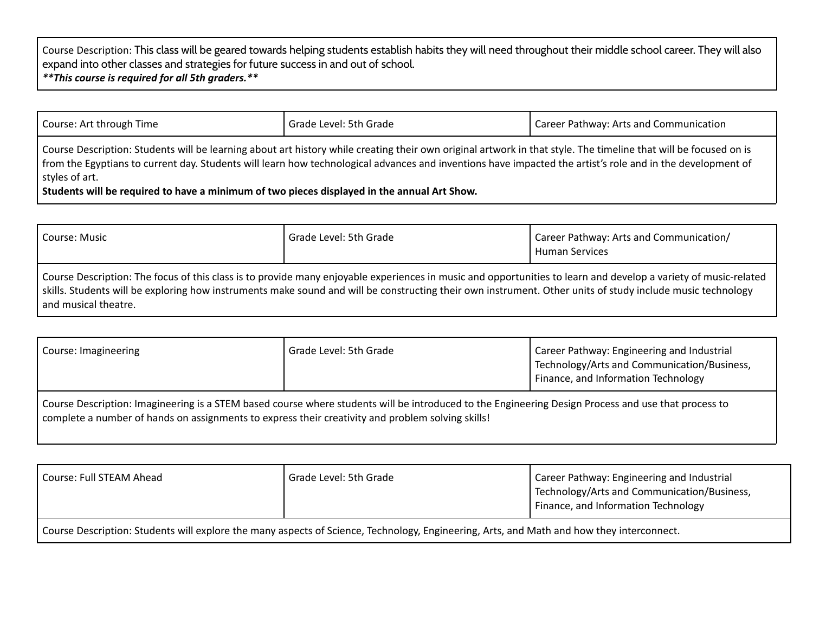Course Description: This class will be geared towards helping students establish habits they will need throughout their middle school career. They will also expand into other classes and strategies for future success in and out of school. *\*\*This course is required for all 5th graders.\*\**

| Course: Art through Time                                                                                                                                                                                                                                                                                                                         | Grade Level: 5th Grade | Career Pathway: Arts and Communication |
|--------------------------------------------------------------------------------------------------------------------------------------------------------------------------------------------------------------------------------------------------------------------------------------------------------------------------------------------------|------------------------|----------------------------------------|
| Course Description: Students will be learning about art history while creating their own original artwork in that style. The timeline that will be focused on is<br>from the Egyptians to current day. Students will learn how technological advances and inventions have impacted the artist's role and in the development of<br>styles of art. |                        |                                        |
| Students will be required to have a minimum of two pieces displayed in the annual Art Show.                                                                                                                                                                                                                                                      |                        |                                        |

| Course: Music                                                                                                                                                                                                                                                                                                                                         | Grade Level: 5th Grade | Career Pathway: Arts and Communication/<br><b>Human Services</b> |
|-------------------------------------------------------------------------------------------------------------------------------------------------------------------------------------------------------------------------------------------------------------------------------------------------------------------------------------------------------|------------------------|------------------------------------------------------------------|
| Course Description: The focus of this class is to provide many enjoyable experiences in music and opportunities to learn and develop a variety of music-related<br>skills. Students will be exploring how instruments make sound and will be constructing their own instrument. Other units of study include music technology<br>and musical theatre. |                        |                                                                  |

| Course: Imagineering                                                                                                                                                                                                                                     | Grade Level: 5th Grade | Career Pathway: Engineering and Industrial<br>Technology/Arts and Communication/Business,<br>Finance, and Information Technology |
|----------------------------------------------------------------------------------------------------------------------------------------------------------------------------------------------------------------------------------------------------------|------------------------|----------------------------------------------------------------------------------------------------------------------------------|
| Course Description: Imagineering is a STEM based course where students will be introduced to the Engineering Design Process and use that process to<br>complete a number of hands on assignments to express their creativity and problem solving skills! |                        |                                                                                                                                  |

| Course: Full STEAM Ahead                                                                                                                  | Grade Level: 5th Grade | Career Pathway: Engineering and Industrial<br>Technology/Arts and Communication/Business,<br>Finance, and Information Technology |
|-------------------------------------------------------------------------------------------------------------------------------------------|------------------------|----------------------------------------------------------------------------------------------------------------------------------|
| Course Description: Students will explore the many aspects of Science, Technology, Engineering, Arts, and Math and how they interconnect. |                        |                                                                                                                                  |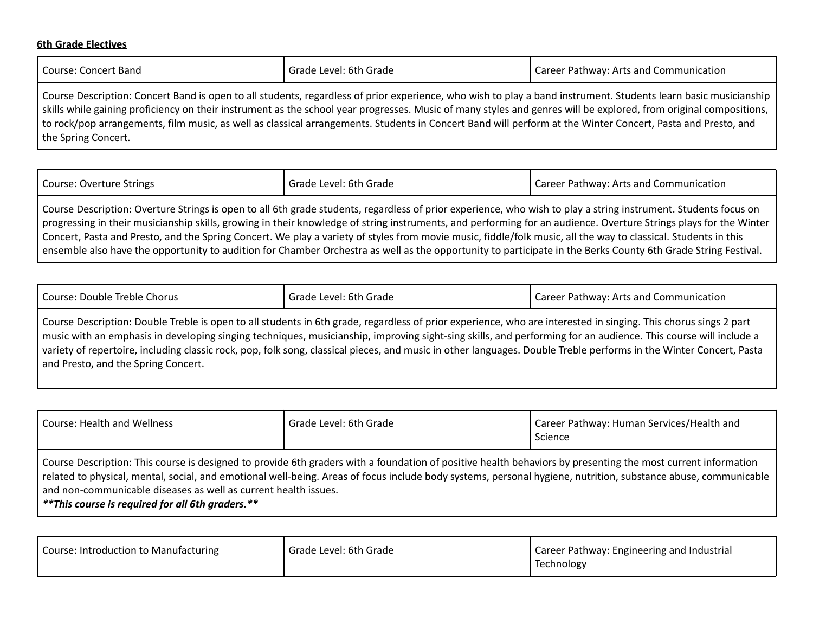#### **6th Grade Electives**

| l Course: Concert Band                                                                                                                                                   | ' Grade Level: 6th Grade | Career Pathway: Arts and Communication |
|--------------------------------------------------------------------------------------------------------------------------------------------------------------------------|--------------------------|----------------------------------------|
| <u>L Course Description: Concert Band is onen to all students, regardless of prior experience, who wish to play a band instrument. Students learn basic musicianship</u> |                          |                                        |

all students, regardless of prior experience, who wish to play a band instrument. Students learn basi skills while gaining proficiency on their instrument as the school year progresses. Music of many styles and genres will be explored, from original compositions, to rock/pop arrangements, film music, as well as classical arrangements. Students in Concert Band will perform at the Winter Concert, Pasta and Presto, and the Spring Concert.

| <b>Course: Overture Strings</b>                                                                                                                                   | Grade Level: 6th Grade | Career Pathway: Arts and Communication |
|-------------------------------------------------------------------------------------------------------------------------------------------------------------------|------------------------|----------------------------------------|
| Course Description: Overture Strings is open to all 6th grade students, regardless of prior experience, who wish to play a string instrument. Students focus on   |                        |                                        |
| progressing in their musicianship skills, growing in their knowledge of string instruments, and performing for an audience. Overture Strings plays for the Winter |                        |                                        |

Concert, Pasta and Presto, and the Spring Concert. We play a variety of styles from movie music, fiddle/folk music, all the way to classical. Students in this ensemble also have the opportunity to audition for Chamber Orchestra as well as the opportunity to participate in the Berks County 6th Grade String Festival.

| Course: Double Treble Chorus | . Grade Level: 6th Grade | l Career Pathway: Arts and Communication |
|------------------------------|--------------------------|------------------------------------------|
|------------------------------|--------------------------|------------------------------------------|

Course Description: Double Treble is open to all students in 6th grade, regardless of prior experience, who are interested in singing. This chorus sings 2 part music with an emphasis in developing singing techniques, musicianship, improving sight-sing skills, and performing for an audience. This course will include a variety of repertoire, including classic rock, pop, folk song, classical pieces, and music in other languages. Double Treble performs in the Winter Concert, Pasta and Presto, and the Spring Concert.

| <b>Course: Health and Wellness</b>                                                                                                                                                                                                                                                                                                                                                                                                                      | Grade Level: 6th Grade | Career Pathway: Human Services/Health and<br>Science |
|---------------------------------------------------------------------------------------------------------------------------------------------------------------------------------------------------------------------------------------------------------------------------------------------------------------------------------------------------------------------------------------------------------------------------------------------------------|------------------------|------------------------------------------------------|
| Course Description: This course is designed to provide 6th graders with a foundation of positive health behaviors by presenting the most current information<br>related to physical, mental, social, and emotional well-being. Areas of focus include body systems, personal hygiene, nutrition, substance abuse, communicable<br>and non-communicable diseases as well as current health issues.<br>** This course is required for all 6th graders. ** |                        |                                                      |

| Course: Introduction to Manufacturing<br>Grade Level: 6th Grade<br>I Career Pathway: Engineering and Industrial<br>Technology |  |
|-------------------------------------------------------------------------------------------------------------------------------|--|
|-------------------------------------------------------------------------------------------------------------------------------|--|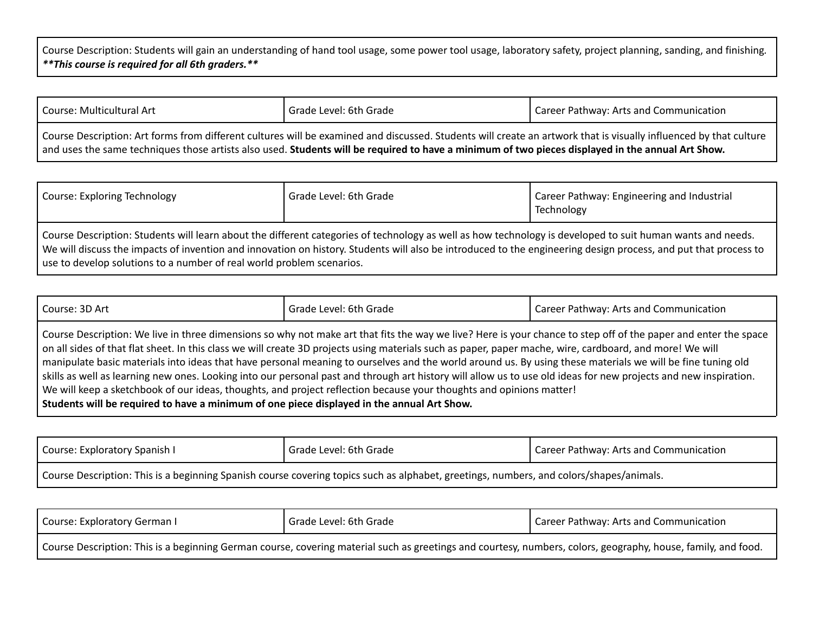Course Description: Students will gain an understanding of hand tool usage, some power tool usage, laboratory safety, project planning, sanding, and finishing*. \*\*This course is required for all 6th graders.\*\**

| Course: Multicultural Art                                                                                                                                                                                                                                                                                              | Grade Level: 6th Grade | Career Pathway: Arts and Communication |
|------------------------------------------------------------------------------------------------------------------------------------------------------------------------------------------------------------------------------------------------------------------------------------------------------------------------|------------------------|----------------------------------------|
| Course Description: Art forms from different cultures will be examined and discussed. Students will create an artwork that is visually influenced by that culture<br>and uses the same techniques those artists also used. Students will be required to have a minimum of two pieces displayed in the annual Art Show. |                        |                                        |

| <b>Course: Exploring Technology</b>                                                                                                                                                                                                                                                                                                                                                                    | Grade Level: 6th Grade | Career Pathway: Engineering and Industrial<br>Technology |
|--------------------------------------------------------------------------------------------------------------------------------------------------------------------------------------------------------------------------------------------------------------------------------------------------------------------------------------------------------------------------------------------------------|------------------------|----------------------------------------------------------|
| Course Description: Students will learn about the different categories of technology as well as how technology is developed to suit human wants and needs.<br>We will discuss the impacts of invention and innovation on history. Students will also be introduced to the engineering design process, and put that process to<br>use to develop solutions to a number of real world problem scenarios. |                        |                                                          |

| Course: 3D Art                                                                             | Grade Level: 6th Grade                                                                                                                                                                                                                                                                                                                                                                                                                                                                                                                                                                                                                                                                                                                                                               | Career Pathway: Arts and Communication |
|--------------------------------------------------------------------------------------------|--------------------------------------------------------------------------------------------------------------------------------------------------------------------------------------------------------------------------------------------------------------------------------------------------------------------------------------------------------------------------------------------------------------------------------------------------------------------------------------------------------------------------------------------------------------------------------------------------------------------------------------------------------------------------------------------------------------------------------------------------------------------------------------|----------------------------------------|
| Students will be required to have a minimum of one piece displayed in the annual Art Show. | Course Description: We live in three dimensions so why not make art that fits the way we live? Here is your chance to step off of the paper and enter the space<br>on all sides of that flat sheet. In this class we will create 3D projects using materials such as paper, paper mache, wire, cardboard, and more! We will<br>manipulate basic materials into ideas that have personal meaning to ourselves and the world around us. By using these materials we will be fine tuning old<br>skills as well as learning new ones. Looking into our personal past and through art history will allow us to use old ideas for new projects and new inspiration.<br>We will keep a sketchbook of our ideas, thoughts, and project reflection because your thoughts and opinions matter! |                                        |

| Course: Exploratory Spanish I                                                                                                           | Grade Level: 6th Grade | Career Pathway: Arts and Communication |
|-----------------------------------------------------------------------------------------------------------------------------------------|------------------------|----------------------------------------|
| Course Description: This is a beginning Spanish course covering topics such as alphabet, greetings, numbers, and colors/shapes/animals. |                        |                                        |

| Course: Exploratory German I                                                                                                                                  | Grade Level: 6th Grade | Career Pathway: Arts and Communication |
|---------------------------------------------------------------------------------------------------------------------------------------------------------------|------------------------|----------------------------------------|
| Course Description: This is a beginning German course, covering material such as greetings and courtesy, numbers, colors, geography, house, family, and food. |                        |                                        |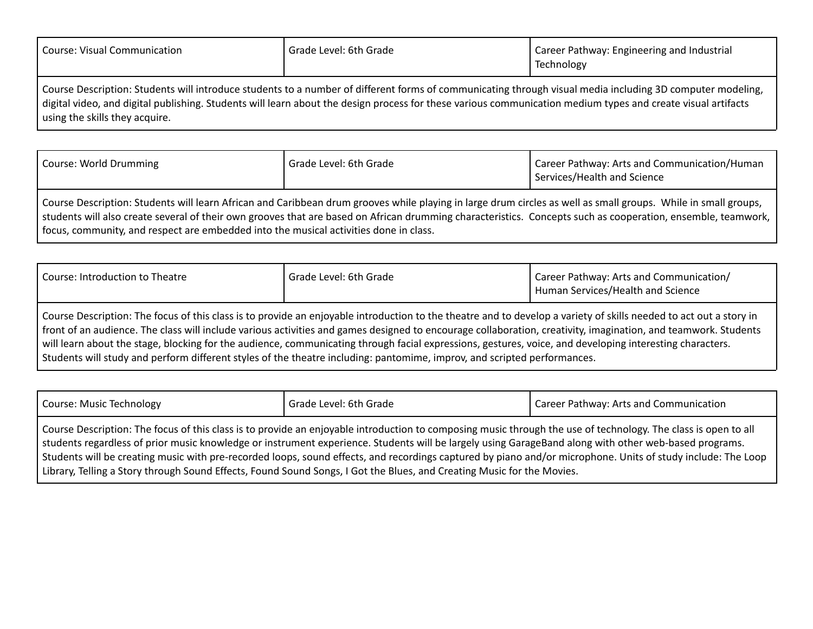| <b>Course: Visual Communication</b> | Grade Level: 6th Grade                                                                                                                                                                                                                                                                                                    | Career Pathway: Engineering and Industrial<br>Technology |
|-------------------------------------|---------------------------------------------------------------------------------------------------------------------------------------------------------------------------------------------------------------------------------------------------------------------------------------------------------------------------|----------------------------------------------------------|
| using the skills they acquire.      | Course Description: Students will introduce students to a number of different forms of communicating through visual media including 3D computer modeling,<br>digital video, and digital publishing. Students will learn about the design process for these various communication medium types and create visual artifacts |                                                          |

| Course: World Drumming                                                                | Grade Level: 6th Grade                                                                                                                                                                                                                                                                                                         | Career Pathway: Arts and Communication/Human<br>Services/Health and Science |
|---------------------------------------------------------------------------------------|--------------------------------------------------------------------------------------------------------------------------------------------------------------------------------------------------------------------------------------------------------------------------------------------------------------------------------|-----------------------------------------------------------------------------|
| focus, community, and respect are embedded into the musical activities done in class. | Course Description: Students will learn African and Caribbean drum grooves while playing in large drum circles as well as small groups. While in small groups,<br>students will also create several of their own grooves that are based on African drumming characteristics. Concepts such as cooperation, ensemble, teamwork, |                                                                             |

| Course: Introduction to Theatre                                                                                                                                    | Grade Level: 6th Grade | Career Pathway: Arts and Communication/<br>Human Services/Health and Science |
|--------------------------------------------------------------------------------------------------------------------------------------------------------------------|------------------------|------------------------------------------------------------------------------|
| Course Description: The focus of this class is to provide an enjoyable introduction to the theatre and to develop a variety of skills needed to act out a story in |                        |                                                                              |
| front of an audience. The class will include various activities and games designed to encourage collaboration, creativity, imagination, and teamwork. Students     |                        |                                                                              |
| will learn about the stage, blocking for the audience, communicating through facial expressions, gestures, voice, and developing interesting characters.           |                        |                                                                              |

Students will study and perform different styles of the theatre including: pantomime, improv, and scripted performances.

| Course: Music Technology | Grade Level: 6th Grade | Career Pathway: Arts and Communication |
|--------------------------|------------------------|----------------------------------------|
| $\sim$ $\sim$            |                        |                                        |

Course Description: The focus of this class is to provide an enjoyable introduction to composing music through the use of technology. The class is open to all students regardless of prior music knowledge or instrument experience. Students will be largely using GarageBand along with other web-based programs. Students will be creating music with pre-recorded loops, sound effects, and recordings captured by piano and/or microphone. Units of study include: The Loop Library, Telling a Story through Sound Effects, Found Sound Songs, I Got the Blues, and Creating Music for the Movies.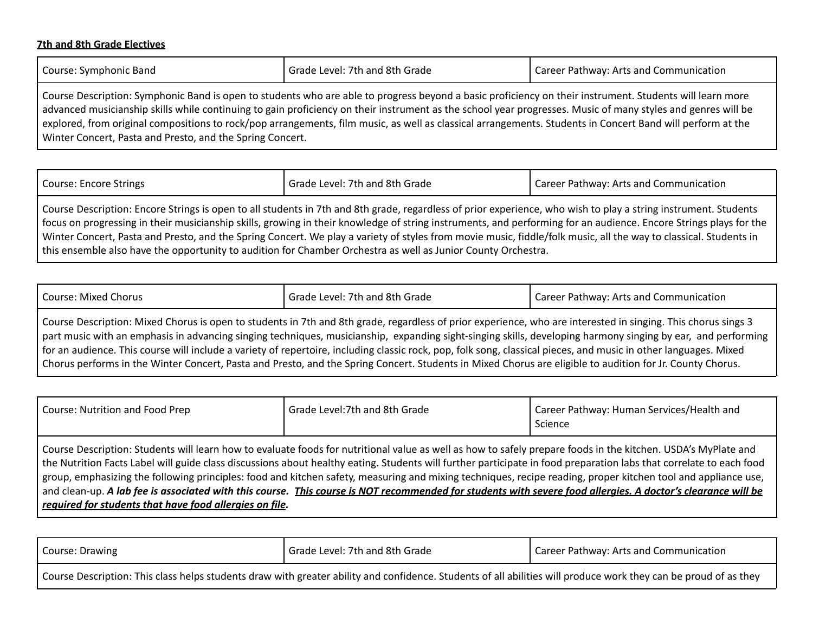### **7th and 8th Grade Electives**

Winter Concert, Pasta and Presto, and the Spring Concert.

| Course: Symphonic Band                                                                                                                                                                                                                                                                                                   | Grade Level: 7th and 8th Grade | Career Pathway: Arts and Communication |
|--------------------------------------------------------------------------------------------------------------------------------------------------------------------------------------------------------------------------------------------------------------------------------------------------------------------------|--------------------------------|----------------------------------------|
| Course Description: Symphonic Band is open to students who are able to progress beyond a basic proficiency on their instrument. Students will learn more<br>advanced musicianship skills while continuing to gain proficiency on their instrument as the school year progresses. Music of many styles and genres will be |                                |                                        |
|                                                                                                                                                                                                                                                                                                                          |                                |                                        |
| explored, from original compositions to rock/pop arrangements, film music, as well as classical arrangements. Students in Concert Band will perform at the                                                                                                                                                               |                                |                                        |

Course: Encore Strings **Grade Level: 7th and 8th Grade** Course: Encore Strings Career Pathway: Arts and Communication

Course Description: Encore Strings is open to all students in 7th and 8th grade, regardless of prior experience, who wish to play a string instrument. Students focus on progressing in their musicianship skills, growing in their knowledge of string instruments, and performing for an audience. Encore Strings plays for the Winter Concert, Pasta and Presto, and the Spring Concert. We play a variety of styles from movie music, fiddle/folk music, all the way to classical. Students in this ensemble also have the opportunity to audition for Chamber Orchestra as well as Junior County Orchestra.

| Course: Mixed Chorus                                                                                                                                          | Grade Level: 7th and 8th Grade | Career Pathway: Arts and Communication |
|---------------------------------------------------------------------------------------------------------------------------------------------------------------|--------------------------------|----------------------------------------|
| Course Description: Mixed Chorus is open to students in 7th and 8th grade, regardless of prior experience, who are interested in singing. This chorus sings 3 |                                |                                        |
| part music with an emphasis in advancing singing techniques, musicianship, expanding sight-singing skills, developing harmony singing by ear, and performing  |                                |                                        |

for an audience. This course will include a variety of repertoire, including classic rock, pop, folk song, classical pieces, and music in other languages. Mixed Chorus performs in the Winter Concert, Pasta and Presto, and the Spring Concert. Students in Mixed Chorus are eligible to audition for Jr. County Chorus.

| Course: Nutrition and Food Prep                         | Grade Level:7th and 8th Grade                                                                                                                                                                                                                                                                                                                                                                                                                                                                                                                                                                                                                                         | Career Pathway: Human Services/Health and<br>Science |
|---------------------------------------------------------|-----------------------------------------------------------------------------------------------------------------------------------------------------------------------------------------------------------------------------------------------------------------------------------------------------------------------------------------------------------------------------------------------------------------------------------------------------------------------------------------------------------------------------------------------------------------------------------------------------------------------------------------------------------------------|------------------------------------------------------|
| required for students that have food allergies on file. | Course Description: Students will learn how to evaluate foods for nutritional value as well as how to safely prepare foods in the kitchen. USDA's MyPlate and<br>the Nutrition Facts Label will guide class discussions about healthy eating. Students will further participate in food preparation labs that correlate to each food<br>group, emphasizing the following principles: food and kitchen safety, measuring and mixing techniques, recipe reading, proper kitchen tool and appliance use,<br>and clean-up. A lab fee is associated with this course. This course is NOT recommended for students with severe food allergies. A doctor's clearance will be |                                                      |

| Course: Drawing                                                                                                                                                  | I Grade Level: 7th and 8th Grade | Career Pathway: Arts and Communication |
|------------------------------------------------------------------------------------------------------------------------------------------------------------------|----------------------------------|----------------------------------------|
| Course Description: This class helps students draw with greater ability and confidence. Students of all abilities will produce work they can be proud of as they |                                  |                                        |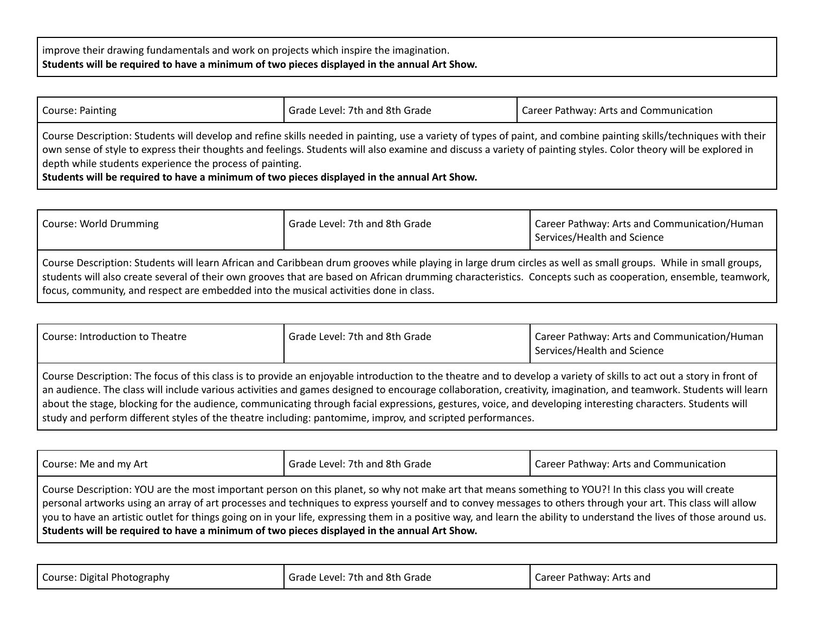improve their drawing fundamentals and work on projects which inspire the imagination. **Students will be required to have a minimum of two pieces displayed in the annual Art Show.**

| Course: Painting                                                                                                                                                                                                                                                                                                            | Grade Level: 7th and 8th Grade | Career Pathway: Arts and Communication                                                                                                                             |
|-----------------------------------------------------------------------------------------------------------------------------------------------------------------------------------------------------------------------------------------------------------------------------------------------------------------------------|--------------------------------|--------------------------------------------------------------------------------------------------------------------------------------------------------------------|
| own sense of style to express their thoughts and feelings. Students will also examine and discuss a variety of painting styles. Color theory will be explored in<br>depth while students experience the process of painting.<br>Students will be required to have a minimum of two pieces displayed in the annual Art Show. |                                | Course Description: Students will develop and refine skills needed in painting, use a variety of types of paint, and combine painting skills/techniques with their |

| Course: World Drumming                                                                                                                                                                                                                                                                                                                                                                                                  | Grade Level: 7th and 8th Grade | Career Pathway: Arts and Communication/Human<br>Services/Health and Science |
|-------------------------------------------------------------------------------------------------------------------------------------------------------------------------------------------------------------------------------------------------------------------------------------------------------------------------------------------------------------------------------------------------------------------------|--------------------------------|-----------------------------------------------------------------------------|
| Course Description: Students will learn African and Caribbean drum grooves while playing in large drum circles as well as small groups. While in small groups,<br>students will also create several of their own grooves that are based on African drumming characteristics. Concepts such as cooperation, ensemble, teamwork,<br>focus, community, and respect are embedded into the musical activities done in class. |                                |                                                                             |

| Course: Introduction to Theatre | Grade Level: 7th and 8th Grade                                                                                                                                                                                                                                                                                                                                                                                                                                                                                                                                                                                        | Career Pathway: Arts and Communication/Human<br>Services/Health and Science |
|---------------------------------|-----------------------------------------------------------------------------------------------------------------------------------------------------------------------------------------------------------------------------------------------------------------------------------------------------------------------------------------------------------------------------------------------------------------------------------------------------------------------------------------------------------------------------------------------------------------------------------------------------------------------|-----------------------------------------------------------------------------|
|                                 | Course Description: The focus of this class is to provide an enjoyable introduction to the theatre and to develop a variety of skills to act out a story in front of<br>an audience. The class will include various activities and games designed to encourage collaboration, creativity, imagination, and teamwork. Students will learn<br>about the stage, blocking for the audience, communicating through facial expressions, gestures, voice, and developing interesting characters. Students will<br>study and perform different styles of the theatre including: pantomime, improv, and scripted performances. |                                                                             |

| Course: Me and my Art                                                                       | Grade Level: 7th and 8th Grade                                                                                                                                                                                                                                                                                                                                                                                                                                                                    | Career Pathway: Arts and Communication |
|---------------------------------------------------------------------------------------------|---------------------------------------------------------------------------------------------------------------------------------------------------------------------------------------------------------------------------------------------------------------------------------------------------------------------------------------------------------------------------------------------------------------------------------------------------------------------------------------------------|----------------------------------------|
| Students will be required to have a minimum of two pieces displayed in the annual Art Show. | Course Description: YOU are the most important person on this planet, so why not make art that means something to YOU?! In this class you will create<br>personal artworks using an array of art processes and techniques to express yourself and to convey messages to others through your art. This class will allow<br>  you to have an artistic outlet for things going on in your life, expressing them in a positive way, and learn the ability to understand the lives of those around us. |                                        |

| Course: Digital Photography | Grade Level: 7th and 8th Grade | Career Pathway: Arts and |
|-----------------------------|--------------------------------|--------------------------|
|-----------------------------|--------------------------------|--------------------------|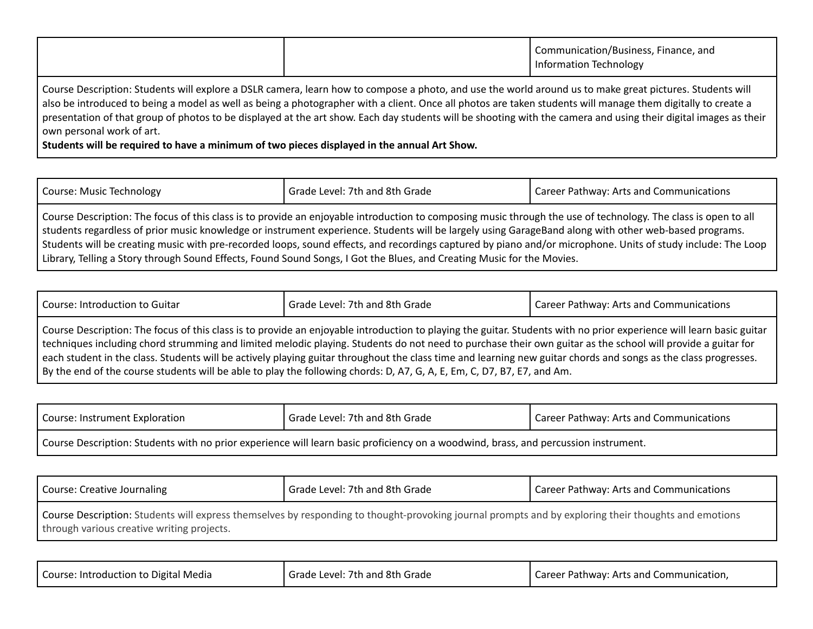|--|

Course Description: Students will explore a DSLR camera, learn how to compose a photo, and use the world around us to make great pictures. Students will also be introduced to being a model as well as being a photographer with a client. Once all photos are taken students will manage them digitally to create a presentation of that group of photos to be displayed at the art show. Each day students will be shooting with the camera and using their digital images as their own personal work of art.

**Students will be required to have a minimum of two pieces displayed in the annual Art Show.**

| <b>Course: Music Technology</b> | Grade Level: 7th and 8th Grade                                                                                                                                                                                                                                                                                                                                                                                                                                                                                                                                                                                    | Career Pathway: Arts and Communications |
|---------------------------------|-------------------------------------------------------------------------------------------------------------------------------------------------------------------------------------------------------------------------------------------------------------------------------------------------------------------------------------------------------------------------------------------------------------------------------------------------------------------------------------------------------------------------------------------------------------------------------------------------------------------|-----------------------------------------|
|                                 | Course Description: The focus of this class is to provide an enjoyable introduction to composing music through the use of technology. The class is open to all<br>students regardless of prior music knowledge or instrument experience. Students will be largely using GarageBand along with other web-based programs.<br>Students will be creating music with pre-recorded loops, sound effects, and recordings captured by piano and/or microphone. Units of study include: The Loop<br>Library, Telling a Story through Sound Effects, Found Sound Songs, I Got the Blues, and Creating Music for the Movies. |                                         |

| Course: Introduction to Guitar | Grade Level: 7th and 8th Grade                                                                                                                                                                                                                                                                                                                                                                                                                                                                                                                                                                                                    | Career Pathway: Arts and Communications |
|--------------------------------|-----------------------------------------------------------------------------------------------------------------------------------------------------------------------------------------------------------------------------------------------------------------------------------------------------------------------------------------------------------------------------------------------------------------------------------------------------------------------------------------------------------------------------------------------------------------------------------------------------------------------------------|-----------------------------------------|
|                                | Course Description: The focus of this class is to provide an enjoyable introduction to playing the guitar. Students with no prior experience will learn basic guitar<br>techniques including chord strumming and limited melodic playing. Students do not need to purchase their own guitar as the school will provide a guitar for<br>each student in the class. Students will be actively playing guitar throughout the class time and learning new guitar chords and songs as the class progresses.<br>By the end of the course students will be able to play the following chords: D, A7, G, A, E, Em, C, D7, B7, E7, and Am. |                                         |

| Course: Instrument Exploration | Grade Level: 7th and 8th Grade                                                                                                      | I Career Pathway: Arts and Communications |
|--------------------------------|-------------------------------------------------------------------------------------------------------------------------------------|-------------------------------------------|
|                                | Course Description: Students with no prior experience will learn basic proficiency on a woodwind, brass, and percussion instrument. |                                           |

| Course: Creative Journaling                                                                                                                                                                        | Grade Level: 7th and 8th Grade | Career Pathway: Arts and Communications |
|----------------------------------------------------------------------------------------------------------------------------------------------------------------------------------------------------|--------------------------------|-----------------------------------------|
| Course Description: Students will express themselves by responding to thought-provoking journal prompts and by exploring their thoughts and emotions<br>through various creative writing projects. |                                |                                         |

|  | Course: Introduction to Digital Media | Grade Level: 7th and 8th Grade | Career Pathway: Arts and Communication, |
|--|---------------------------------------|--------------------------------|-----------------------------------------|
|--|---------------------------------------|--------------------------------|-----------------------------------------|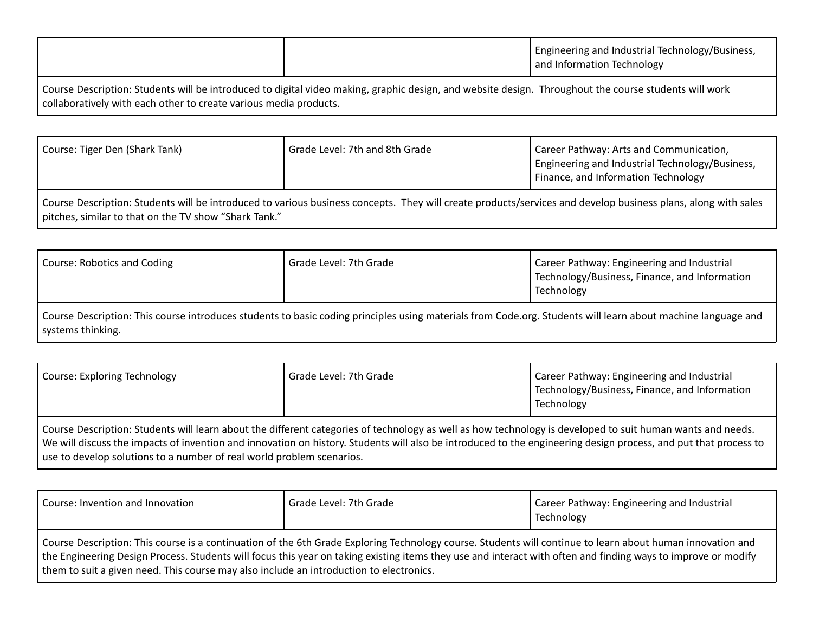|                                                                                                                                                       | I Engineering and Industrial Technology/Business,<br>and Information Technology |
|-------------------------------------------------------------------------------------------------------------------------------------------------------|---------------------------------------------------------------------------------|
| Course Description: Students will be introduced to digital video making, graphic design, and website design. Throughout the course students will work |                                                                                 |

collaboratively with each other to create various media products.

| Course: Tiger Den (Shark Tank)                                                                                                                                  | Grade Level: 7th and 8th Grade | Career Pathway: Arts and Communication,<br>  Engineering and Industrial Technology/Business,<br>Finance, and Information Technology |
|-----------------------------------------------------------------------------------------------------------------------------------------------------------------|--------------------------------|-------------------------------------------------------------------------------------------------------------------------------------|
| Course Description: Students will be introduced to various business consents. They will create products (services and develop business plans, along with sales, |                                |                                                                                                                                     |

Course Description: Students will be introduced to various business concepts. They will create products/services and develop business plans, along with sales pitches, similar to that on the TV show "Shark Tank."

| Course: Robotics and Coding                                                                                                                                  | Grade Level: 7th Grade | Career Pathway: Engineering and Industrial<br>Technology/Business, Finance, and Information<br>Technology |
|--------------------------------------------------------------------------------------------------------------------------------------------------------------|------------------------|-----------------------------------------------------------------------------------------------------------|
| Course Description: This course introduces students to basic coding principles using materials from Code.org. Students will learn about machine language and |                        |                                                                                                           |

systems thinking.

| <b>Course: Exploring Technology</b>                                                                                                                                                                                                                                                                                                                                                                    | Grade Level: 7th Grade | Career Pathway: Engineering and Industrial<br>Technology/Business, Finance, and Information<br>Technology |
|--------------------------------------------------------------------------------------------------------------------------------------------------------------------------------------------------------------------------------------------------------------------------------------------------------------------------------------------------------------------------------------------------------|------------------------|-----------------------------------------------------------------------------------------------------------|
| Course Description: Students will learn about the different categories of technology as well as how technology is developed to suit human wants and needs.<br>We will discuss the impacts of invention and innovation on history. Students will also be introduced to the engineering design process, and put that process to<br>use to develop solutions to a number of real world problem scenarios. |                        |                                                                                                           |

| Course: Invention and Innovation                                                                                                                                                                                                                                                                                                                                                                                       | Grade Level: 7th Grade | Career Pathway: Engineering and Industrial<br>Technology |
|------------------------------------------------------------------------------------------------------------------------------------------------------------------------------------------------------------------------------------------------------------------------------------------------------------------------------------------------------------------------------------------------------------------------|------------------------|----------------------------------------------------------|
| Course Description: This course is a continuation of the 6th Grade Exploring Technology course. Students will continue to learn about human innovation and<br>the Engineering Design Process. Students will focus this year on taking existing items they use and interact with often and finding ways to improve or modify<br>them to suit a given need. This course may also include an introduction to electronics. |                        |                                                          |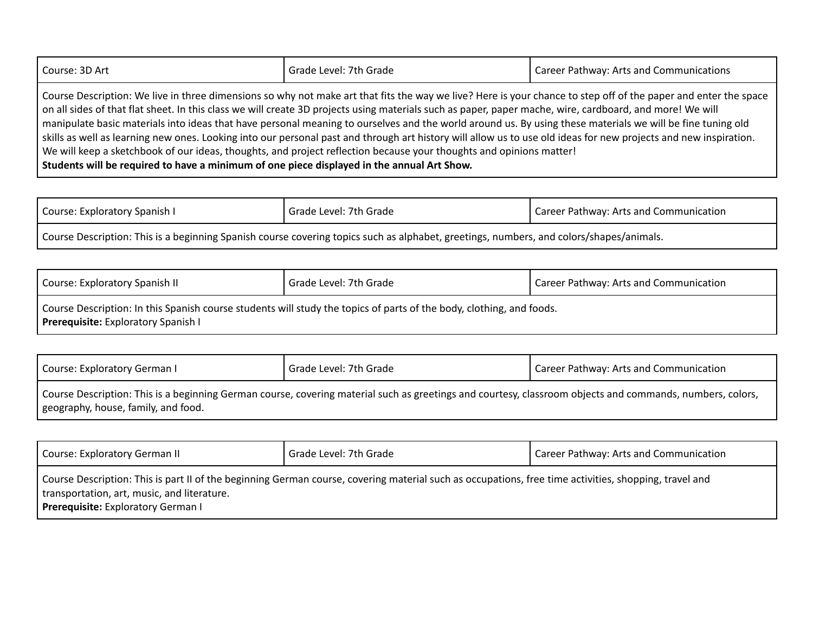| Course: 3D Art | Grade Level: 7th Grade                                                                                                                                                                                                                                                                                                                                                                                                                                                                                                                                                                                                                                                                                                                                                               | Career Pathway: Arts and Communications |
|----------------|--------------------------------------------------------------------------------------------------------------------------------------------------------------------------------------------------------------------------------------------------------------------------------------------------------------------------------------------------------------------------------------------------------------------------------------------------------------------------------------------------------------------------------------------------------------------------------------------------------------------------------------------------------------------------------------------------------------------------------------------------------------------------------------|-----------------------------------------|
|                | Course Description: We live in three dimensions so why not make art that fits the way we live? Here is your chance to step off of the paper and enter the space<br>on all sides of that flat sheet. In this class we will create 3D projects using materials such as paper, paper mache, wire, cardboard, and more! We will<br>manipulate basic materials into ideas that have personal meaning to ourselves and the world around us. By using these materials we will be fine tuning old<br>skills as well as learning new ones. Looking into our personal past and through art history will allow us to use old ideas for new projects and new inspiration.<br>We will keep a sketchbook of our ideas, thoughts, and project reflection because your thoughts and opinions matter! |                                         |

**Students will be required to have a minimum of one piece displayed in the annual Art Show.**

| Course: Exploratory Spanish I                                                                                                           | Grade Level: 7th Grade | I Career Pathway: Arts and Communication |
|-----------------------------------------------------------------------------------------------------------------------------------------|------------------------|------------------------------------------|
| Course Description: This is a beginning Spanish course covering topics such as alphabet, greetings, numbers, and colors/shapes/animals. |                        |                                          |

| Course: Exploratory Spanish II             | Grade Level: 7th Grade                                                                                               | Career Pathway: Arts and Communication |
|--------------------------------------------|----------------------------------------------------------------------------------------------------------------------|----------------------------------------|
| <b>Prerequisite:</b> Exploratory Spanish I | Course Description: In this Spanish course students will study the topics of parts of the body, clothing, and foods. |                                        |

| Course: Exploratory German I                                                                                                                                                                     | Grade Level: 7th Grade | Career Pathway: Arts and Communication |
|--------------------------------------------------------------------------------------------------------------------------------------------------------------------------------------------------|------------------------|----------------------------------------|
| Course Description: This is a beginning German course, covering material such as greetings and courtesy, classroom objects and commands, numbers, colors,<br>geography, house, family, and food. |                        |                                        |

| Course: Exploratory German II                                                                                                                                                                                                              | Grade Level: 7th Grade | Career Pathway: Arts and Communication |
|--------------------------------------------------------------------------------------------------------------------------------------------------------------------------------------------------------------------------------------------|------------------------|----------------------------------------|
| Course Description: This is part II of the beginning German course, covering material such as occupations, free time activities, shopping, travel and<br>transportation, art, music, and literature.<br>Prerequisite: Exploratory German I |                        |                                        |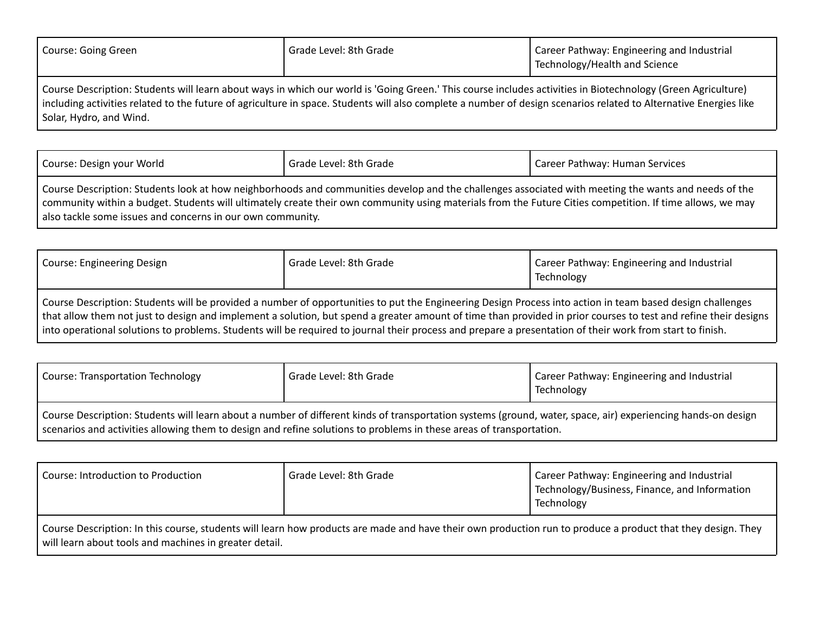| Course: Going Green                                                                                                                                                                                                                                                                                                               | Grade Level: 8th Grade | Career Pathway: Engineering and Industrial<br>Technology/Health and Science |
|-----------------------------------------------------------------------------------------------------------------------------------------------------------------------------------------------------------------------------------------------------------------------------------------------------------------------------------|------------------------|-----------------------------------------------------------------------------|
| Course Description: Students will learn about ways in which our world is 'Going Green.' This course includes activities in Biotechnology (Green Agriculture)<br>Including activities related to the future of agriculture in space. Students will also complete a number of design scenarios related to Alternative Energies like |                        |                                                                             |

Solar, Hydro, and Wind.

| Course: Design your World                                                                                                                                                                                                                                                                                         | Grade Level: 8th Grade | Career Pathway: Human Services |
|-------------------------------------------------------------------------------------------------------------------------------------------------------------------------------------------------------------------------------------------------------------------------------------------------------------------|------------------------|--------------------------------|
| Course Description: Students look at how neighborhoods and communities develop and the challenges associated with meeting the wants and needs of the<br>community within a budget. Students will ultimately create their own community using materials from the Future Cities competition. If time allows, we may |                        |                                |
| also tackle some issues and concerns in our own community.                                                                                                                                                                                                                                                        |                        |                                |

| Course: Engineering Design                                                                                                                                                                                                                                                                                                                                                                                                                                                                | Grade Level: 8th Grade | Career Pathway: Engineering and Industrial<br>Technology |
|-------------------------------------------------------------------------------------------------------------------------------------------------------------------------------------------------------------------------------------------------------------------------------------------------------------------------------------------------------------------------------------------------------------------------------------------------------------------------------------------|------------------------|----------------------------------------------------------|
| Course Description: Students will be provided a number of opportunities to put the Engineering Design Process into action in team based design challenges<br>that allow them not just to design and implement a solution, but spend a greater amount of time than provided in prior courses to test and refine their designs<br>into operational solutions to problems. Students will be required to journal their process and prepare a presentation of their work from start to finish. |                        |                                                          |

| <b>Course: Transportation Technology</b>                                                                                                                                                                                                                                            | Grade Level: 8th Grade | Career Pathway: Engineering and Industrial<br>Technology |
|-------------------------------------------------------------------------------------------------------------------------------------------------------------------------------------------------------------------------------------------------------------------------------------|------------------------|----------------------------------------------------------|
| Course Description: Students will learn about a number of different kinds of transportation systems (ground, water, space, air) experiencing hands-on design<br>scenarios and activities allowing them to design and refine solutions to problems in these areas of transportation. |                        |                                                          |

| Course: Introduction to Production                                                                                                                                                                                    | Grade Level: 8th Grade | Career Pathway: Engineering and Industrial<br>Technology/Business, Finance, and Information<br>Technology |
|-----------------------------------------------------------------------------------------------------------------------------------------------------------------------------------------------------------------------|------------------------|-----------------------------------------------------------------------------------------------------------|
| Course Description: In this course, students will learn how products are made and have their own production run to produce a product that they design. They<br>will learn about tools and machines in greater detail. |                        |                                                                                                           |